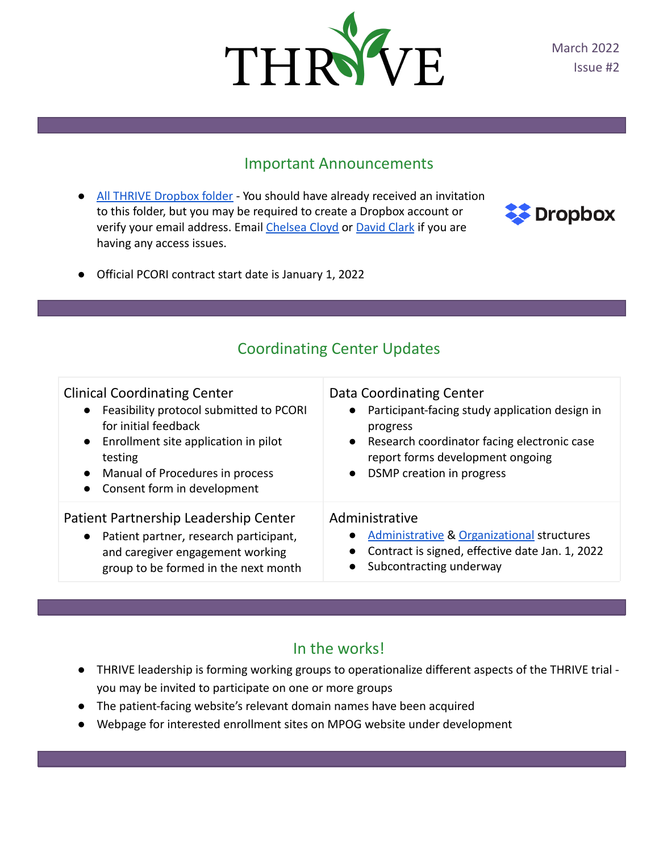

March 2022 Issue #2

#### Important Announcements

[All THRIVE Dropbox folder](https://www.dropbox.com/sh/e88ykclvsdy86b9/AADUKBmPKkgmD5ru9__BK6wYa?dl=0) - You should have already received an invitation to this folder, but you may be required to create a Dropbox account or verify your email address. Email [Chelsea Cloyd](mailto:cmckin@med.umich.edu) or [David Clark](mailto:davidrcl@med.umich.edu) if you are having any access issues.



● Official PCORI contract start date is January 1, 2022

### Coordinating Center Updates

| <b>Clinical Coordinating Center</b><br>• Feasibility protocol submitted to PCORI<br>for initial feedback<br>• Enrollment site application in pilot<br>testing<br>Manual of Procedures in process<br>$\bullet$<br>Consent form in development<br>$\bullet$ | Data Coordinating Center<br>Participant-facing study application design in<br>progress<br>Research coordinator facing electronic case<br>report forms development ongoing<br>DSMP creation in progress<br>$\bullet$ |
|-----------------------------------------------------------------------------------------------------------------------------------------------------------------------------------------------------------------------------------------------------------|---------------------------------------------------------------------------------------------------------------------------------------------------------------------------------------------------------------------|
| Patient Partnership Leadership Center                                                                                                                                                                                                                     | Administrative                                                                                                                                                                                                      |
| • Patient partner, research participant,                                                                                                                                                                                                                  | <b>Administrative &amp; Organizational structures</b>                                                                                                                                                               |
| and caregiver engagement working                                                                                                                                                                                                                          | Contract is signed, effective date Jan. 1, 2022                                                                                                                                                                     |
| group to be formed in the next month                                                                                                                                                                                                                      | Subcontracting underway                                                                                                                                                                                             |

#### In the works!

- THRIVE leadership is forming working groups to operationalize different aspects of the THRIVE trial you may be invited to participate on one or more groups
- The patient-facing website's relevant domain names have been acquired
- Webpage for interested enrollment sites on MPOG website under development